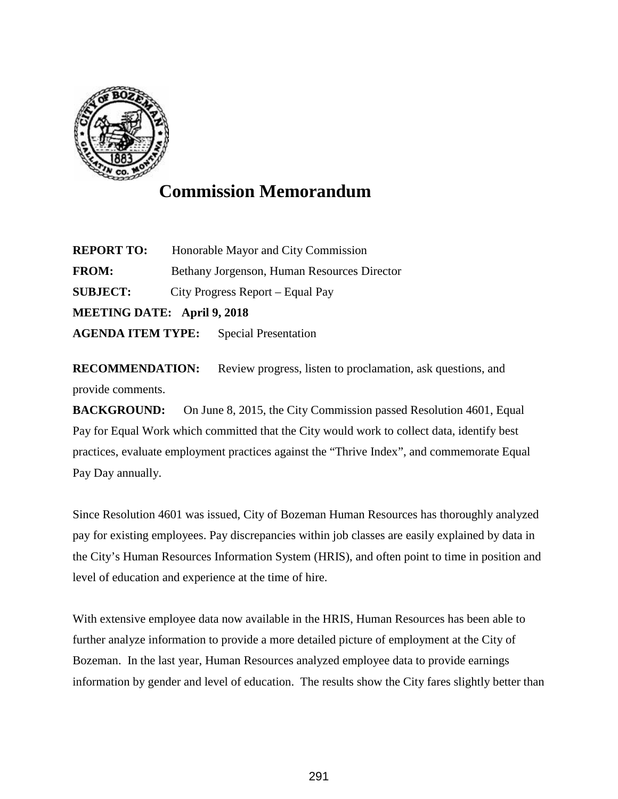

## **Commission Memorandum**

**REPORT TO:** Honorable Mayor and City Commission **FROM:** Bethany Jorgenson, Human Resources Director **SUBJECT:** City Progress Report – Equal Pay **MEETING DATE: April 9, 2018 AGENDA ITEM TYPE:** Special Presentation

**RECOMMENDATION:** Review progress, listen to proclamation, ask questions, and provide comments.

**BACKGROUND:** On June 8, 2015, the City Commission passed Resolution 4601, Equal Pay for Equal Work which committed that the City would work to collect data, identify best practices, evaluate employment practices against the "Thrive Index", and commemorate Equal Pay Day annually.

Since Resolution 4601 was issued, City of Bozeman Human Resources has thoroughly analyzed pay for existing employees. Pay discrepancies within job classes are easily explained by data in the City's Human Resources Information System (HRIS), and often point to time in position and level of education and experience at the time of hire.

With extensive employee data now available in the HRIS, Human Resources has been able to further analyze information to provide a more detailed picture of employment at the City of Bozeman. In the last year, Human Resources analyzed employee data to provide earnings information by gender and level of education. The results show the City fares slightly better than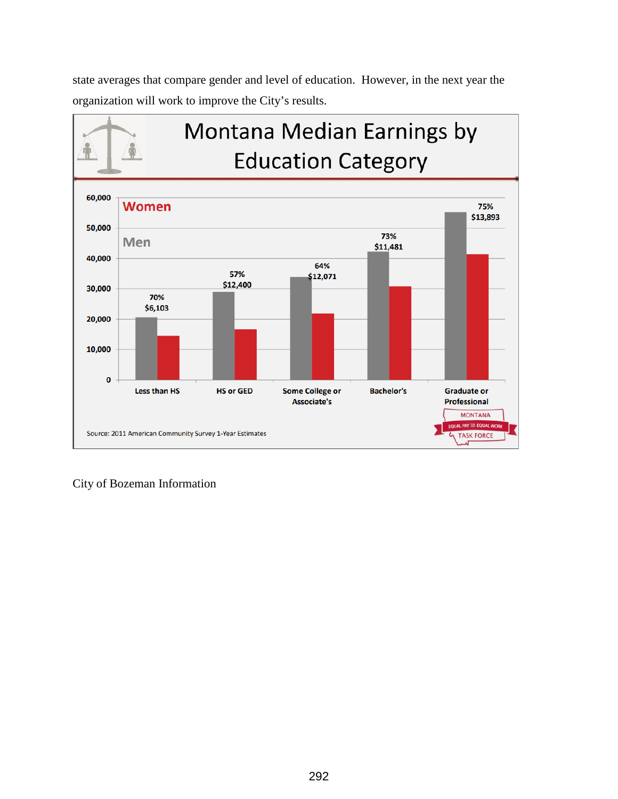state averages that compare gender and level of education. However, in the next year the organization will work to improve the City's results.



City of Bozeman Information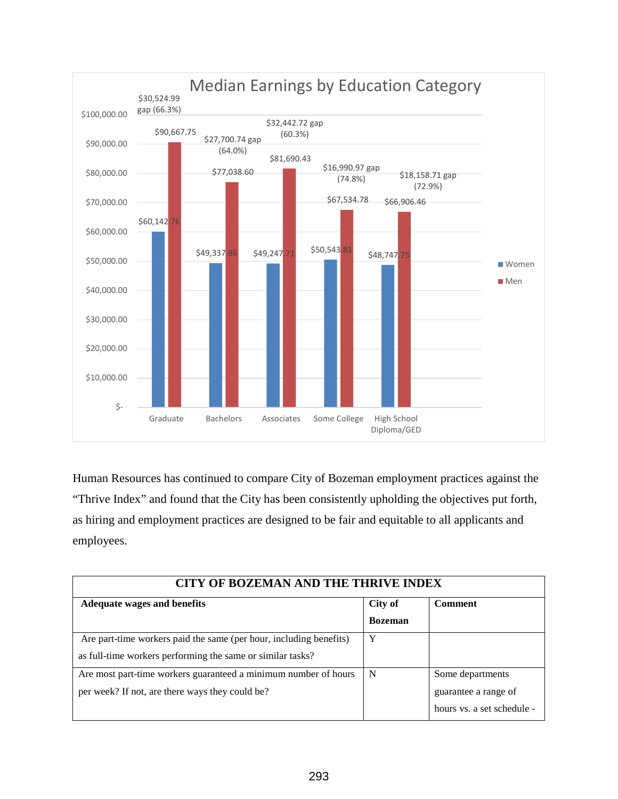

Human Resources has continued to compare City of Bozeman employment practices against the "Thrive Index" and found that the City has been consistently upholding the objectives put forth, as hiring and employment practices are designed to be fair and equitable to all applicants and employees.

| <b>CITY OF BOZEMAN AND THE THRIVE INDEX</b>                        |                |                            |  |
|--------------------------------------------------------------------|----------------|----------------------------|--|
| <b>Adequate wages and benefits</b>                                 | City of        | <b>Comment</b>             |  |
|                                                                    | <b>Bozeman</b> |                            |  |
| Are part-time workers paid the same (per hour, including benefits) | Y              |                            |  |
| as full-time workers performing the same or similar tasks?         |                |                            |  |
| Are most part-time workers guaranteed a minimum number of hours    | N              | Some departments           |  |
| per week? If not, are there ways they could be?                    |                | guarantee a range of       |  |
|                                                                    |                | hours vs. a set schedule - |  |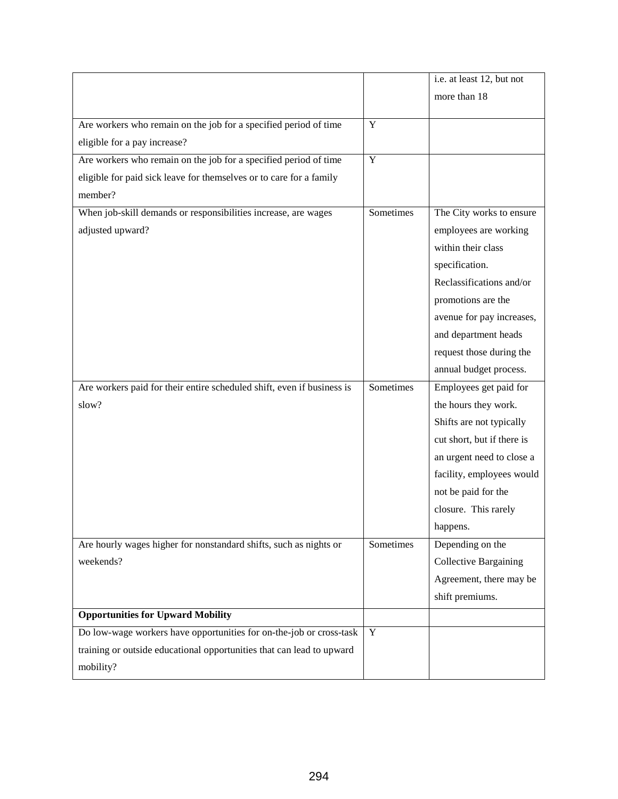|                                                                        |                | i.e. at least 12, but not    |
|------------------------------------------------------------------------|----------------|------------------------------|
|                                                                        |                | more than 18                 |
| Are workers who remain on the job for a specified period of time       | Y              |                              |
| eligible for a pay increase?                                           |                |                              |
| Are workers who remain on the job for a specified period of time       | $\overline{Y}$ |                              |
| eligible for paid sick leave for themselves or to care for a family    |                |                              |
| member?                                                                |                |                              |
| When job-skill demands or responsibilities increase, are wages         | Sometimes      | The City works to ensure     |
| adjusted upward?                                                       |                | employees are working        |
|                                                                        |                | within their class           |
|                                                                        |                | specification.               |
|                                                                        |                | Reclassifications and/or     |
|                                                                        |                | promotions are the           |
|                                                                        |                | avenue for pay increases,    |
|                                                                        |                | and department heads         |
|                                                                        |                | request those during the     |
|                                                                        |                | annual budget process.       |
| Are workers paid for their entire scheduled shift, even if business is | Sometimes      | Employees get paid for       |
| slow?                                                                  |                | the hours they work.         |
|                                                                        |                | Shifts are not typically     |
|                                                                        |                | cut short, but if there is   |
|                                                                        |                | an urgent need to close a    |
|                                                                        |                | facility, employees would    |
|                                                                        |                | not be paid for the          |
|                                                                        |                | closure. This rarely         |
|                                                                        |                | happens.                     |
| Are hourly wages higher for nonstandard shifts, such as nights or      | Sometimes      | Depending on the             |
| weekends?                                                              |                | <b>Collective Bargaining</b> |
|                                                                        |                | Agreement, there may be      |
|                                                                        |                | shift premiums.              |
| <b>Opportunities for Upward Mobility</b>                               |                |                              |
| Do low-wage workers have opportunities for on-the-job or cross-task    | Y              |                              |
| training or outside educational opportunities that can lead to upward  |                |                              |
| mobility?                                                              |                |                              |
|                                                                        |                |                              |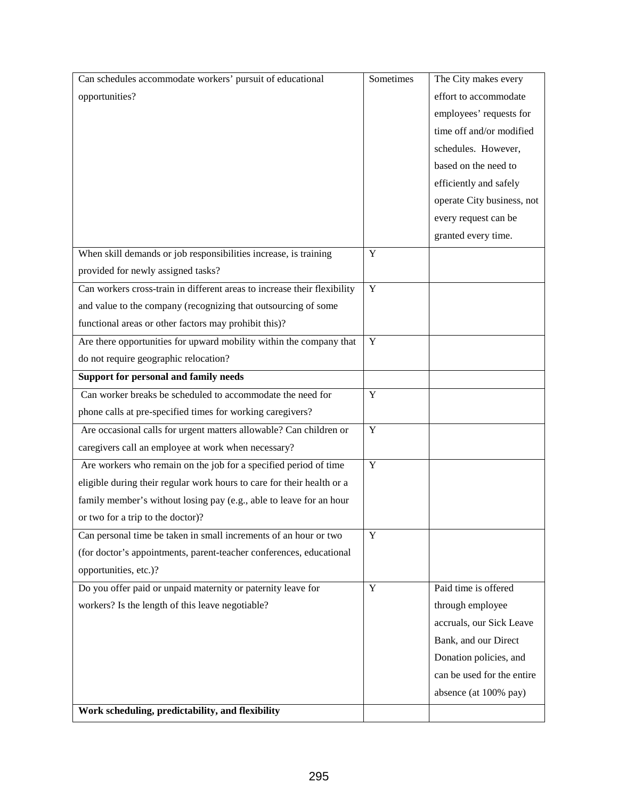| Can schedules accommodate workers' pursuit of educational                | Sometimes      | The City makes every       |
|--------------------------------------------------------------------------|----------------|----------------------------|
| opportunities?                                                           |                | effort to accommodate      |
|                                                                          |                | employees' requests for    |
|                                                                          |                | time off and/or modified   |
|                                                                          |                | schedules. However,        |
|                                                                          |                | based on the need to       |
|                                                                          |                | efficiently and safely     |
|                                                                          |                | operate City business, not |
|                                                                          |                | every request can be       |
|                                                                          |                | granted every time.        |
| When skill demands or job responsibilities increase, is training         | Y              |                            |
| provided for newly assigned tasks?                                       |                |                            |
| Can workers cross-train in different areas to increase their flexibility | $\overline{Y}$ |                            |
| and value to the company (recognizing that outsourcing of some           |                |                            |
| functional areas or other factors may prohibit this)?                    |                |                            |
| Are there opportunities for upward mobility within the company that      | $\overline{Y}$ |                            |
| do not require geographic relocation?                                    |                |                            |
| Support for personal and family needs                                    |                |                            |
| Can worker breaks be scheduled to accommodate the need for               | $\mathbf Y$    |                            |
| phone calls at pre-specified times for working caregivers?               |                |                            |
| Are occasional calls for urgent matters allowable? Can children or       | $\mathbf Y$    |                            |
| caregivers call an employee at work when necessary?                      |                |                            |
| Are workers who remain on the job for a specified period of time         | Y              |                            |
| eligible during their regular work hours to care for their health or a   |                |                            |
| family member's without losing pay (e.g., able to leave for an hour      |                |                            |
| or two for a trip to the doctor)?                                        |                |                            |
| Can personal time be taken in small increments of an hour or two         | Y              |                            |
| (for doctor's appointments, parent-teacher conferences, educational      |                |                            |
| opportunities, etc.)?                                                    |                |                            |
| Do you offer paid or unpaid maternity or paternity leave for             | Y              | Paid time is offered       |
| workers? Is the length of this leave negotiable?                         |                | through employee           |
|                                                                          |                | accruals, our Sick Leave   |
|                                                                          |                | Bank, and our Direct       |
|                                                                          |                | Donation policies, and     |
|                                                                          |                | can be used for the entire |
|                                                                          |                | absence (at 100% pay)      |
| Work scheduling, predictability, and flexibility                         |                |                            |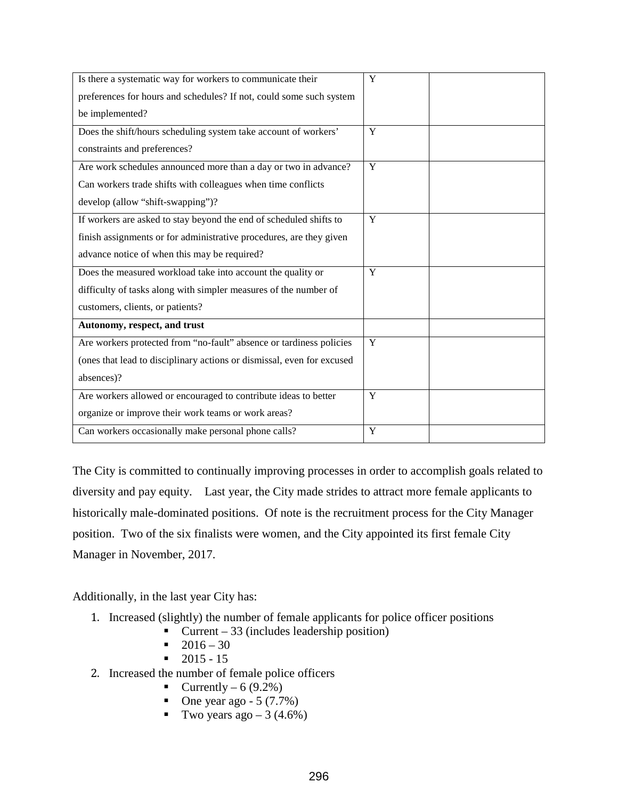| Is there a systematic way for workers to communicate their             | Y |
|------------------------------------------------------------------------|---|
| preferences for hours and schedules? If not, could some such system    |   |
| be implemented?                                                        |   |
| Does the shift/hours scheduling system take account of workers'        | Y |
| constraints and preferences?                                           |   |
| Are work schedules announced more than a day or two in advance?        | Y |
| Can workers trade shifts with colleagues when time conflicts           |   |
| develop (allow "shift-swapping")?                                      |   |
| If workers are asked to stay beyond the end of scheduled shifts to     | Y |
| finish assignments or for administrative procedures, are they given    |   |
| advance notice of when this may be required?                           |   |
| Does the measured workload take into account the quality or            | Y |
| difficulty of tasks along with simpler measures of the number of       |   |
| customers, clients, or patients?                                       |   |
| Autonomy, respect, and trust                                           |   |
| Are workers protected from "no-fault" absence or tardiness policies    | Y |
| (ones that lead to disciplinary actions or dismissal, even for excused |   |
| absences)?                                                             |   |
| Are workers allowed or encouraged to contribute ideas to better        | Y |
| organize or improve their work teams or work areas?                    |   |
| Can workers occasionally make personal phone calls?                    | Y |

The City is committed to continually improving processes in order to accomplish goals related to diversity and pay equity. Last year, the City made strides to attract more female applicants to historically male-dominated positions. Of note is the recruitment process for the City Manager position. Two of the six finalists were women, and the City appointed its first female City Manager in November, 2017.

Additionally, in the last year City has:

- 1. Increased (slightly) the number of female applicants for police officer positions<br> $\blacksquare$  Current 33 (includes leadership position)
	- Current 33 (includes leadership position)
	- $-2016 30$
	- $-2015 15$
- 2. Increased the number of female police officers
	- Currently 6  $(9.2\%)$
	- One year ago  $-5 (7.7%)$
	- Two years ago  $-3$  (4.6%)